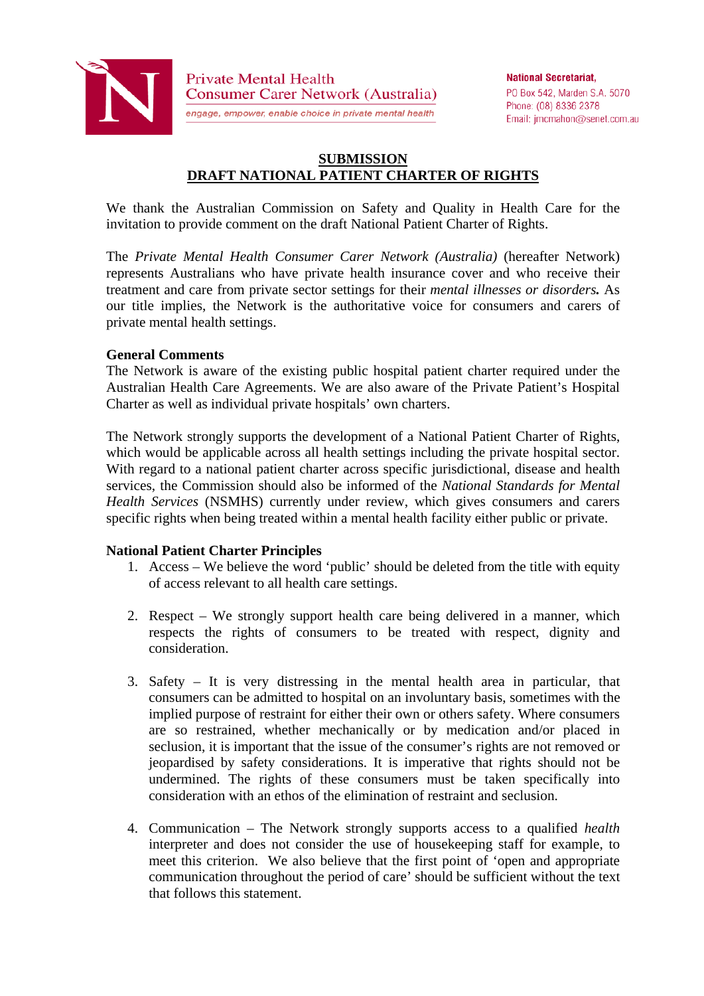

**Private Mental Health** Consumer Carer Network (Australia)

engage, empower, enable choice in private mental health

PO Box 542, Marden S.A. 5070 Phone: (08) 8336 2378 Email: jmcmahon@senet.com.au

# **SUBMISSION DRAFT NATIONAL PATIENT CHARTER OF RIGHTS**

We thank the Australian Commission on Safety and Quality in Health Care for the invitation to provide comment on the draft National Patient Charter of Rights.

The *Private Mental Health Consumer Carer Network (Australia)* (hereafter Network) represents Australians who have private health insurance cover and who receive their treatment and care from private sector settings for their *mental illnesses or disorders.* As our title implies, the Network is the authoritative voice for consumers and carers of private mental health settings.

#### **General Comments**

The Network is aware of the existing public hospital patient charter required under the Australian Health Care Agreements. We are also aware of the Private Patient's Hospital Charter as well as individual private hospitals' own charters.

The Network strongly supports the development of a National Patient Charter of Rights, which would be applicable across all health settings including the private hospital sector. With regard to a national patient charter across specific jurisdictional, disease and health services, the Commission should also be informed of the *National Standards for Mental Health Services* (NSMHS) currently under review, which gives consumers and carers specific rights when being treated within a mental health facility either public or private.

## **National Patient Charter Principles**

- 1. Access We believe the word 'public' should be deleted from the title with equity of access relevant to all health care settings.
- 2. Respect We strongly support health care being delivered in a manner, which respects the rights of consumers to be treated with respect, dignity and consideration.
- 3. Safety It is very distressing in the mental health area in particular, that consumers can be admitted to hospital on an involuntary basis, sometimes with the implied purpose of restraint for either their own or others safety. Where consumers are so restrained, whether mechanically or by medication and/or placed in seclusion, it is important that the issue of the consumer's rights are not removed or jeopardised by safety considerations. It is imperative that rights should not be undermined. The rights of these consumers must be taken specifically into consideration with an ethos of the elimination of restraint and seclusion.
- 4. Communication The Network strongly supports access to a qualified *health*  interpreter and does not consider the use of housekeeping staff for example, to meet this criterion. We also believe that the first point of 'open and appropriate communication throughout the period of care' should be sufficient without the text that follows this statement.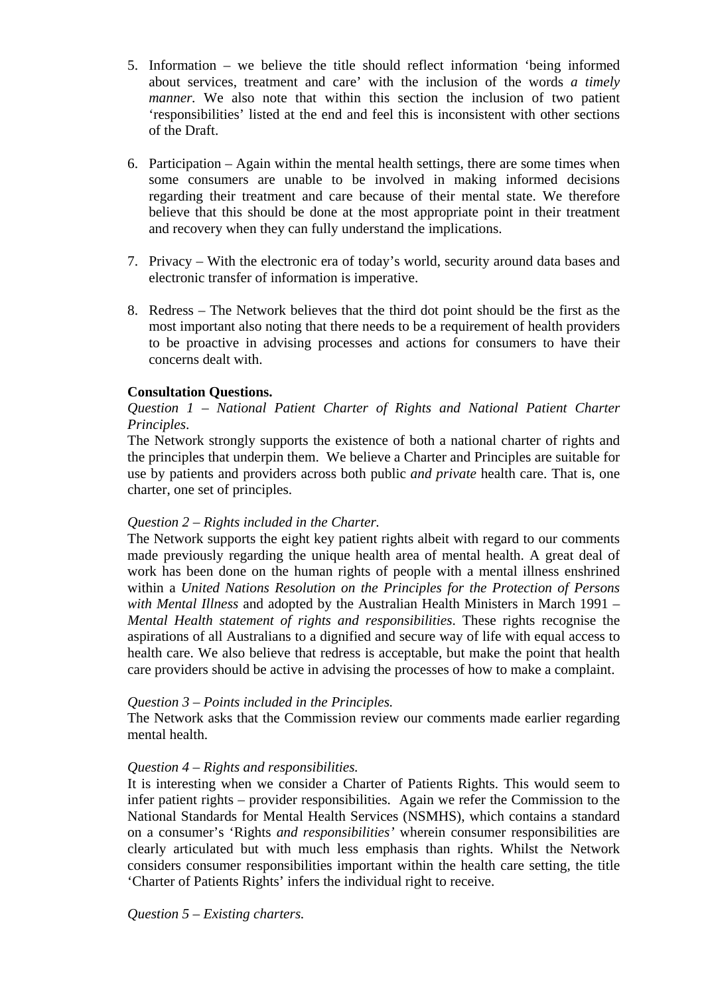- 5. Information we believe the title should reflect information 'being informed about services, treatment and care' with the inclusion of the words *a timely manner*. We also note that within this section the inclusion of two patient 'responsibilities' listed at the end and feel this is inconsistent with other sections of the Draft.
- 6. Participation Again within the mental health settings, there are some times when some consumers are unable to be involved in making informed decisions regarding their treatment and care because of their mental state. We therefore believe that this should be done at the most appropriate point in their treatment and recovery when they can fully understand the implications.
- 7. Privacy With the electronic era of today's world, security around data bases and electronic transfer of information is imperative.
- 8. Redress The Network believes that the third dot point should be the first as the most important also noting that there needs to be a requirement of health providers to be proactive in advising processes and actions for consumers to have their concerns dealt with.

# **Consultation Questions.**

*Question 1 – National Patient Charter of Rights and National Patient Charter Principles*.

The Network strongly supports the existence of both a national charter of rights and the principles that underpin them. We believe a Charter and Principles are suitable for use by patients and providers across both public *and private* health care. That is, one charter, one set of principles.

## *Question 2 – Rights included in the Charter.*

The Network supports the eight key patient rights albeit with regard to our comments made previously regarding the unique health area of mental health. A great deal of work has been done on the human rights of people with a mental illness enshrined within a *United Nations Resolution on the Principles for the Protection of Persons with Mental Illness* and adopted by the Australian Health Ministers in March 1991 – *Mental Health statement of rights and responsibilities*. These rights recognise the aspirations of all Australians to a dignified and secure way of life with equal access to health care. We also believe that redress is acceptable, but make the point that health care providers should be active in advising the processes of how to make a complaint.

## *Question 3 – Points included in the Principles.*

The Network asks that the Commission review our comments made earlier regarding mental health.

## *Question 4 – Rights and responsibilities.*

It is interesting when we consider a Charter of Patients Rights. This would seem to infer patient rights – provider responsibilities. Again we refer the Commission to the National Standards for Mental Health Services (NSMHS), which contains a standard on a consumer's 'Rights *and responsibilities'* wherein consumer responsibilities are clearly articulated but with much less emphasis than rights. Whilst the Network considers consumer responsibilities important within the health care setting, the title 'Charter of Patients Rights' infers the individual right to receive.

*Question 5 – Existing charters.*